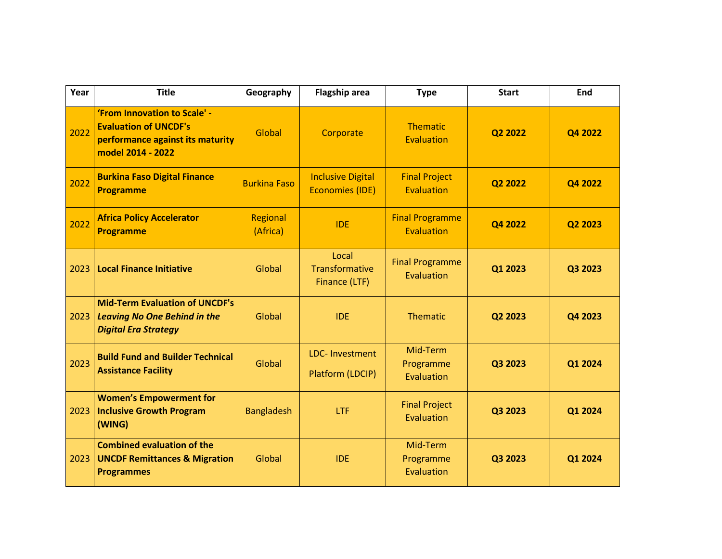| Year | <b>Title</b>                                                                                                          | Geography            | <b>Flagship area</b>                               | <b>Type</b>                          | <b>Start</b> | End     |
|------|-----------------------------------------------------------------------------------------------------------------------|----------------------|----------------------------------------------------|--------------------------------------|--------------|---------|
| 2022 | 'From Innovation to Scale' -<br><b>Evaluation of UNCDF's</b><br>performance against its maturity<br>model 2014 - 2022 | Global               | Corporate                                          | <b>Thematic</b><br>Evaluation        | Q2 2022      | Q4 2022 |
| 2022 | <b>Burkina Faso Digital Finance</b><br><b>Programme</b>                                                               | <b>Burkina Faso</b>  | <b>Inclusive Digital</b><br><b>Economies (IDE)</b> | <b>Final Project</b><br>Evaluation   | Q2 2022      | Q4 2022 |
| 2022 | <b>Africa Policy Accelerator</b><br><b>Programme</b>                                                                  | Regional<br>(Africa) | <b>IDE</b>                                         | <b>Final Programme</b><br>Evaluation | Q4 2022      | Q2 2023 |
| 2023 | <b>Local Finance Initiative</b>                                                                                       | Global               | Local<br>Transformative<br>Finance (LTF)           | <b>Final Programme</b><br>Evaluation | Q1 2023      | Q3 2023 |
| 2023 | <b>Mid-Term Evaluation of UNCDF's</b><br><b>Leaving No One Behind in the</b><br><b>Digital Era Strategy</b>           | Global               | <b>IDE</b>                                         | <b>Thematic</b>                      | Q2 2023      | Q4 2023 |
| 2023 | <b>Build Fund and Builder Technical</b><br><b>Assistance Facility</b>                                                 | Global               | <b>LDC-Investment</b><br>Platform (LDCIP)          | Mid-Term<br>Programme<br>Evaluation  | Q3 2023      | Q1 2024 |
| 2023 | <b>Women's Empowerment for</b><br><b>Inclusive Growth Program</b><br>(WING)                                           | <b>Bangladesh</b>    | LTF                                                | <b>Final Project</b><br>Evaluation   | Q3 2023      | Q1 2024 |
| 2023 | <b>Combined evaluation of the</b><br><b>UNCDF Remittances &amp; Migration</b><br><b>Programmes</b>                    | Global               | <b>IDE</b>                                         | Mid-Term<br>Programme<br>Evaluation  | Q3 2023      | Q1 2024 |